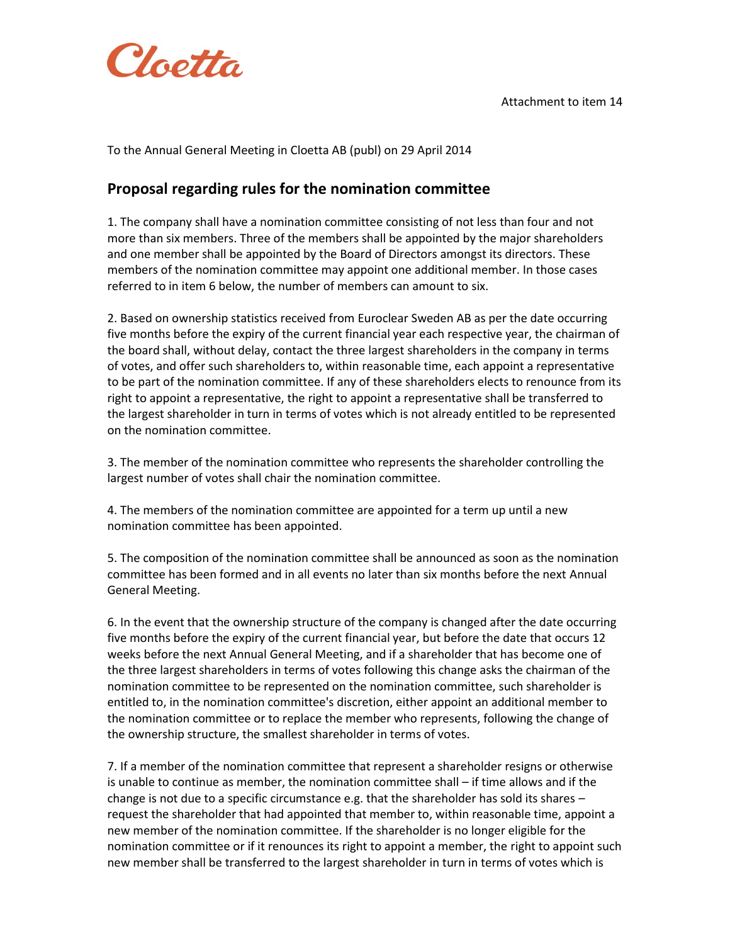

To the Annual General Meeting in Cloetta AB (publ) on 29 April 2014

## **Proposal regarding rules for the nomination committee**

1. The company shall have a nomination committee consisting of not less than four and not more than six members. Three of the members shall be appointed by the major shareholders and one member shall be appointed by the Board of Directors amongst its directors. These members of the nomination committee may appoint one additional member. In those cases referred to in item 6 below, the number of members can amount to six.

2. Based on ownership statistics received from Euroclear Sweden AB as per the date occurring five months before the expiry of the current financial year each respective year, the chairman of the board shall, without delay, contact the three largest shareholders in the company in terms of votes, and offer such shareholders to, within reasonable time, each appoint a representative to be part of the nomination committee. If any of these shareholders elects to renounce from its right to appoint a representative, the right to appoint a representative shall be transferred to the largest shareholder in turn in terms of votes which is not already entitled to be represented on the nomination committee.

3. The member of the nomination committee who represents the shareholder controlling the largest number of votes shall chair the nomination committee.

4. The members of the nomination committee are appointed for a term up until a new nomination committee has been appointed.

5. The composition of the nomination committee shall be announced as soon as the nomination committee has been formed and in all events no later than six months before the next Annual General Meeting.

6. In the event that the ownership structure of the company is changed after the date occurring five months before the expiry of the current financial year, but before the date that occurs 12 weeks before the next Annual General Meeting, and if a shareholder that has become one of the three largest shareholders in terms of votes following this change asks the chairman of the nomination committee to be represented on the nomination committee, such shareholder is entitled to, in the nomination committee's discretion, either appoint an additional member to the nomination committee or to replace the member who represents, following the change of the ownership structure, the smallest shareholder in terms of votes.

7. If a member of the nomination committee that represent a shareholder resigns or otherwise is unable to continue as member, the nomination committee shall – if time allows and if the change is not due to a specific circumstance e.g. that the shareholder has sold its shares – request the shareholder that had appointed that member to, within reasonable time, appoint a new member of the nomination committee. If the shareholder is no longer eligible for the nomination committee or if it renounces its right to appoint a member, the right to appoint such new member shall be transferred to the largest shareholder in turn in terms of votes which is